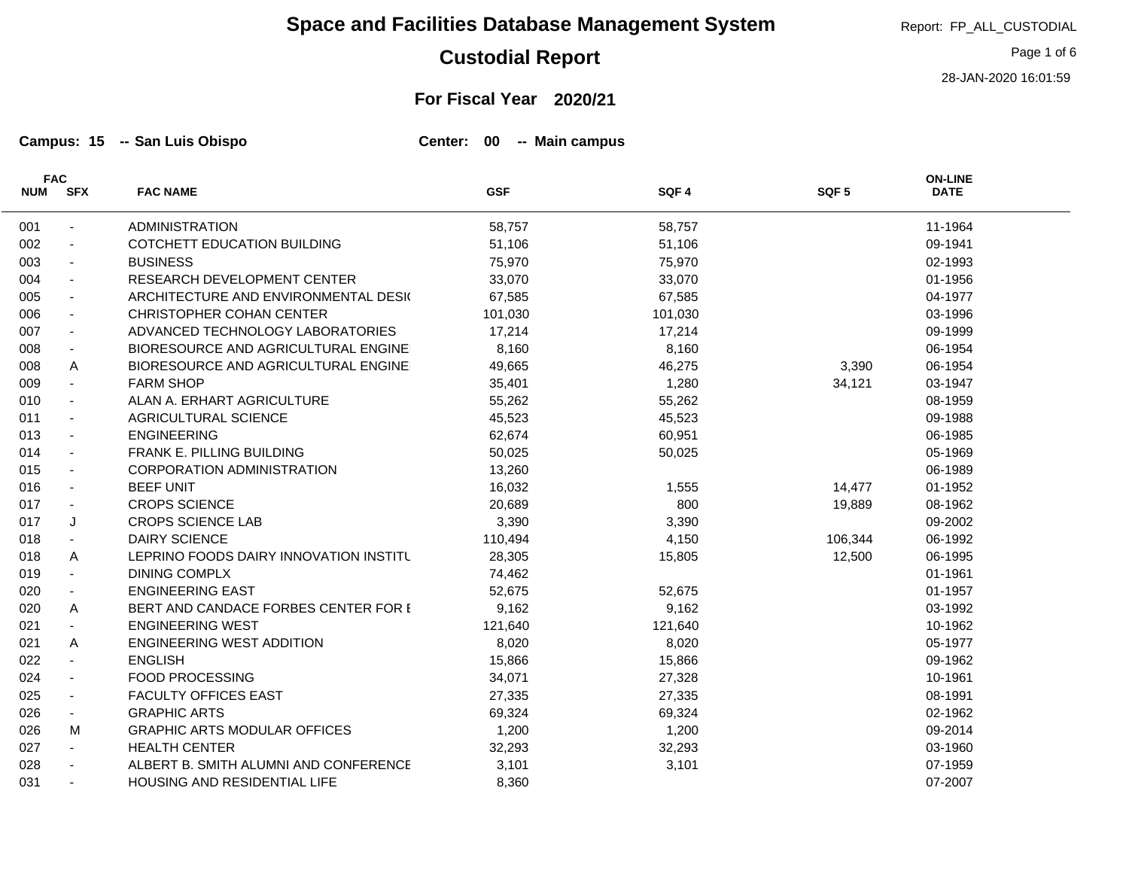## **Custodial Report**

#### **For Fiscal Year 2020/21**

**Campus: 15 San Luis Obispo Center: 00 Main campus -- --**

L,

|            | <b>FAC</b>               |                                        |            |         |                  | <b>ON-LINE</b> |  |
|------------|--------------------------|----------------------------------------|------------|---------|------------------|----------------|--|
| <b>NUM</b> | <b>SFX</b>               | <b>FAC NAME</b>                        | <b>GSF</b> | SQF4    | SQF <sub>5</sub> | <b>DATE</b>    |  |
| 001        | $\overline{\phantom{a}}$ | <b>ADMINISTRATION</b>                  | 58,757     | 58,757  |                  | 11-1964        |  |
| 002        | $\blacksquare$           | COTCHETT EDUCATION BUILDING            | 51,106     | 51,106  |                  | 09-1941        |  |
| 003        | $\blacksquare$           | <b>BUSINESS</b>                        | 75,970     | 75,970  |                  | 02-1993        |  |
| 004        | $\blacksquare$           | RESEARCH DEVELOPMENT CENTER            | 33,070     | 33,070  |                  | 01-1956        |  |
| 005        | $\blacksquare$           | ARCHITECTURE AND ENVIRONMENTAL DESIG   | 67,585     | 67,585  |                  | 04-1977        |  |
| 006        | $\sim$                   | <b>CHRISTOPHER COHAN CENTER</b>        | 101,030    | 101,030 |                  | 03-1996        |  |
| 007        |                          | ADVANCED TECHNOLOGY LABORATORIES       | 17,214     | 17,214  |                  | 09-1999        |  |
| 008        | $\blacksquare$           | BIORESOURCE AND AGRICULTURAL ENGINE    | 8,160      | 8,160   |                  | 06-1954        |  |
| 008        | A                        | BIORESOURCE AND AGRICULTURAL ENGINE    | 49,665     | 46,275  | 3,390            | 06-1954        |  |
| 009        | $\blacksquare$           | <b>FARM SHOP</b>                       | 35,401     | 1,280   | 34,121           | 03-1947        |  |
| 010        | $\blacksquare$           | ALAN A. ERHART AGRICULTURE             | 55,262     | 55,262  |                  | 08-1959        |  |
| 011        | $\blacksquare$           | AGRICULTURAL SCIENCE                   | 45,523     | 45,523  |                  | 09-1988        |  |
| 013        | $\blacksquare$           | <b>ENGINEERING</b>                     | 62,674     | 60,951  |                  | 06-1985        |  |
| 014        | $\blacksquare$           | FRANK E. PILLING BUILDING              | 50,025     | 50,025  |                  | 05-1969        |  |
| 015        | $\blacksquare$           | <b>CORPORATION ADMINISTRATION</b>      | 13,260     |         |                  | 06-1989        |  |
| 016        |                          | <b>BEEF UNIT</b>                       | 16,032     | 1,555   | 14,477           | 01-1952        |  |
| 017        | $\blacksquare$           | <b>CROPS SCIENCE</b>                   | 20,689     | 800     | 19,889           | 08-1962        |  |
| 017        | J                        | <b>CROPS SCIENCE LAB</b>               | 3,390      | 3,390   |                  | 09-2002        |  |
| 018        | $\blacksquare$           | <b>DAIRY SCIENCE</b>                   | 110,494    | 4,150   | 106,344          | 06-1992        |  |
| 018        | A                        | LEPRINO FOODS DAIRY INNOVATION INSTITU | 28,305     | 15,805  | 12,500           | 06-1995        |  |
| 019        | $\blacksquare$           | <b>DINING COMPLX</b>                   | 74,462     |         |                  | 01-1961        |  |
| 020        | $\blacksquare$           | <b>ENGINEERING EAST</b>                | 52,675     | 52,675  |                  | 01-1957        |  |
| 020        | A                        | BERT AND CANDACE FORBES CENTER FOR I   | 9,162      | 9,162   |                  | 03-1992        |  |
| 021        | $\blacksquare$           | <b>ENGINEERING WEST</b>                | 121,640    | 121,640 |                  | 10-1962        |  |
| 021        | A                        | <b>ENGINEERING WEST ADDITION</b>       | 8,020      | 8,020   |                  | 05-1977        |  |
| 022        | $\blacksquare$           | <b>ENGLISH</b>                         | 15,866     | 15,866  |                  | 09-1962        |  |
| 024        | $\blacksquare$           | <b>FOOD PROCESSING</b>                 | 34,071     | 27,328  |                  | 10-1961        |  |
| 025        | $\blacksquare$           | <b>FACULTY OFFICES EAST</b>            | 27,335     | 27,335  |                  | 08-1991        |  |
| 026        | $\sim$                   | <b>GRAPHIC ARTS</b>                    | 69,324     | 69,324  |                  | 02-1962        |  |
| 026        | М                        | <b>GRAPHIC ARTS MODULAR OFFICES</b>    | 1,200      | 1,200   |                  | 09-2014        |  |
| 027        | $\sim$                   | <b>HEALTH CENTER</b>                   | 32,293     | 32,293  |                  | 03-1960        |  |
| 028        |                          | ALBERT B. SMITH ALUMNI AND CONFERENCE  | 3,101      | 3,101   |                  | 07-1959        |  |
| 031        |                          | HOUSING AND RESIDENTIAL LIFE           | 8,360      |         |                  | 07-2007        |  |

Report: FP\_ALL\_CUSTODIAL

Page 1 of 6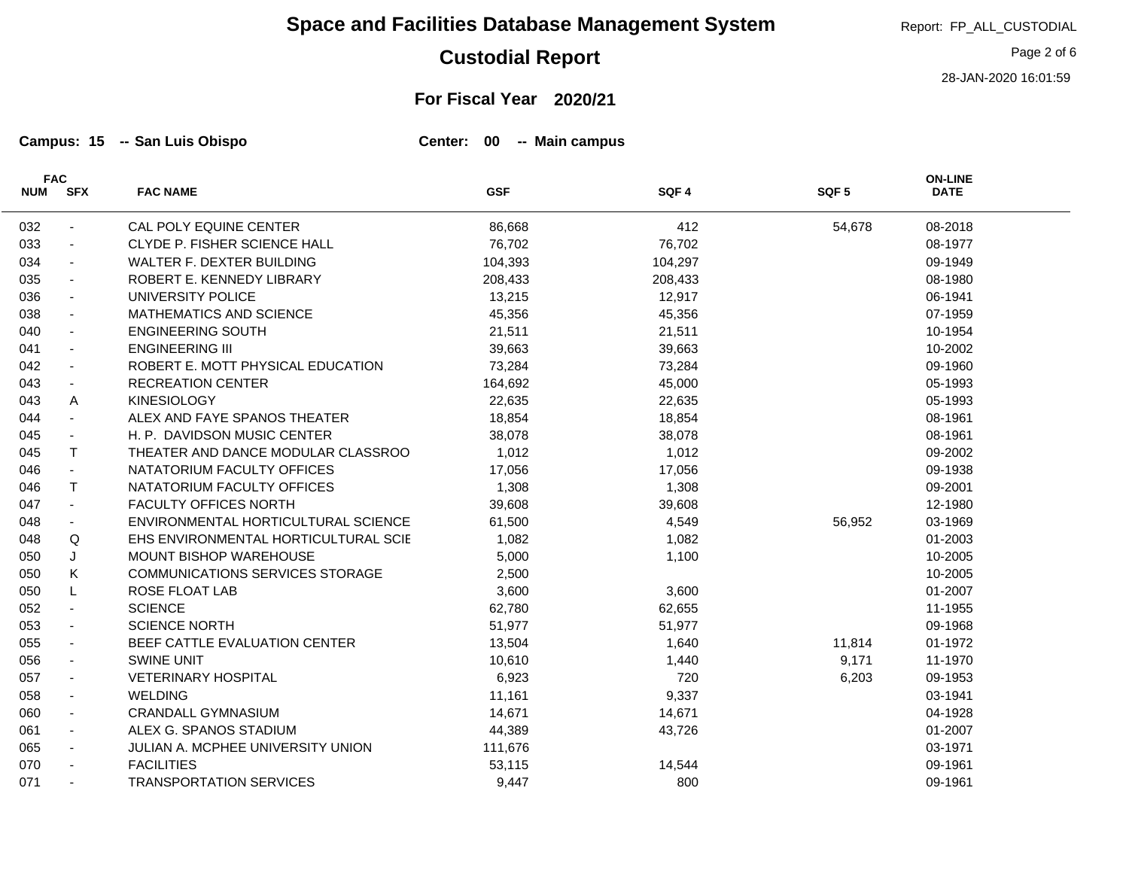# **Custodial Report**

# **For Fiscal Year 2020/21**

**Campus: 15 San Luis Obispo Center: 00 Main campus -- --**

L

| <b>FAC</b> |                          |                                      | <b>ON-LINE</b> |         |                  |             |  |
|------------|--------------------------|--------------------------------------|----------------|---------|------------------|-------------|--|
| <b>NUM</b> | <b>SFX</b>               | <b>FAC NAME</b>                      | <b>GSF</b>     | SQF4    | SQF <sub>5</sub> | <b>DATE</b> |  |
| 032        | $\overline{\phantom{a}}$ | CAL POLY EQUINE CENTER               | 86,668         | 412     | 54,678           | 08-2018     |  |
| 033        | $\blacksquare$           | CLYDE P. FISHER SCIENCE HALL         | 76,702         | 76,702  |                  | 08-1977     |  |
| 034        | $\blacksquare$           | WALTER F. DEXTER BUILDING            | 104,393        | 104,297 |                  | 09-1949     |  |
| 035        | $\blacksquare$           | ROBERT E. KENNEDY LIBRARY            | 208,433        | 208,433 |                  | 08-1980     |  |
| 036        | $\blacksquare$           | UNIVERSITY POLICE                    | 13,215         | 12,917  |                  | 06-1941     |  |
| 038        | $\overline{\phantom{a}}$ | MATHEMATICS AND SCIENCE              | 45,356         | 45,356  |                  | 07-1959     |  |
| 040        | $\sim$                   | <b>ENGINEERING SOUTH</b>             | 21,511         | 21,511  |                  | 10-1954     |  |
| 041        | $\blacksquare$           | <b>ENGINEERING III</b>               | 39,663         | 39,663  |                  | 10-2002     |  |
| 042        |                          | ROBERT E. MOTT PHYSICAL EDUCATION    | 73,284         | 73,284  |                  | 09-1960     |  |
| 043        | $\blacksquare$           | <b>RECREATION CENTER</b>             | 164,692        | 45,000  |                  | 05-1993     |  |
| 043        | Α                        | <b>KINESIOLOGY</b>                   | 22,635         | 22,635  |                  | 05-1993     |  |
| 044        | $\sim$                   | ALEX AND FAYE SPANOS THEATER         | 18,854         | 18,854  |                  | 08-1961     |  |
| 045        | $\blacksquare$           | H. P. DAVIDSON MUSIC CENTER          | 38,078         | 38,078  |                  | 08-1961     |  |
| 045        | T.                       | THEATER AND DANCE MODULAR CLASSROO   | 1,012          | 1,012   |                  | 09-2002     |  |
| 046        | $\sim$                   | NATATORIUM FACULTY OFFICES           | 17,056         | 17,056  |                  | 09-1938     |  |
| 046        | T.                       | NATATORIUM FACULTY OFFICES           | 1,308          | 1,308   |                  | 09-2001     |  |
| 047        | $\overline{\phantom{a}}$ | FACULTY OFFICES NORTH                | 39,608         | 39,608  |                  | 12-1980     |  |
| 048        |                          | ENVIRONMENTAL HORTICULTURAL SCIENCE  | 61,500         | 4,549   | 56,952           | 03-1969     |  |
| 048        | Q                        | EHS ENVIRONMENTAL HORTICULTURAL SCIE | 1,082          | 1,082   |                  | 01-2003     |  |
| 050        | J                        | <b>MOUNT BISHOP WAREHOUSE</b>        | 5,000          | 1,100   |                  | 10-2005     |  |
| 050        | Κ                        | COMMUNICATIONS SERVICES STORAGE      | 2,500          |         |                  | 10-2005     |  |
| 050        | L                        | ROSE FLOAT LAB                       | 3,600          | 3,600   |                  | 01-2007     |  |
| 052        | $\blacksquare$           | <b>SCIENCE</b>                       | 62,780         | 62,655  |                  | 11-1955     |  |
| 053        | $\blacksquare$           | <b>SCIENCE NORTH</b>                 | 51,977         | 51,977  |                  | 09-1968     |  |
| 055        | $\sim$                   | BEEF CATTLE EVALUATION CENTER        | 13,504         | 1,640   | 11,814           | 01-1972     |  |
| 056        | $\overline{\phantom{a}}$ | SWINE UNIT                           | 10,610         | 1,440   | 9,171            | 11-1970     |  |
| 057        | $\overline{\phantom{a}}$ | <b>VETERINARY HOSPITAL</b>           | 6,923          | 720     | 6,203            | 09-1953     |  |
| 058        | $\overline{\phantom{a}}$ | <b>WELDING</b>                       | 11,161         | 9,337   |                  | 03-1941     |  |
| 060        | $\blacksquare$           | <b>CRANDALL GYMNASIUM</b>            | 14,671         | 14,671  |                  | 04-1928     |  |
| 061        | $\blacksquare$           | ALEX G. SPANOS STADIUM               | 44,389         | 43,726  |                  | 01-2007     |  |
| 065        | $\sim$                   | JULIAN A. MCPHEE UNIVERSITY UNION    | 111,676        |         |                  | 03-1971     |  |
| 070        | $\blacksquare$           | <b>FACILITIES</b>                    | 53,115         | 14,544  |                  | 09-1961     |  |
| 071        | $\blacksquare$           | <b>TRANSPORTATION SERVICES</b>       | 9,447          | 800     |                  | 09-1961     |  |

Report: FP\_ALL\_CUSTODIAL

Page 2 of 6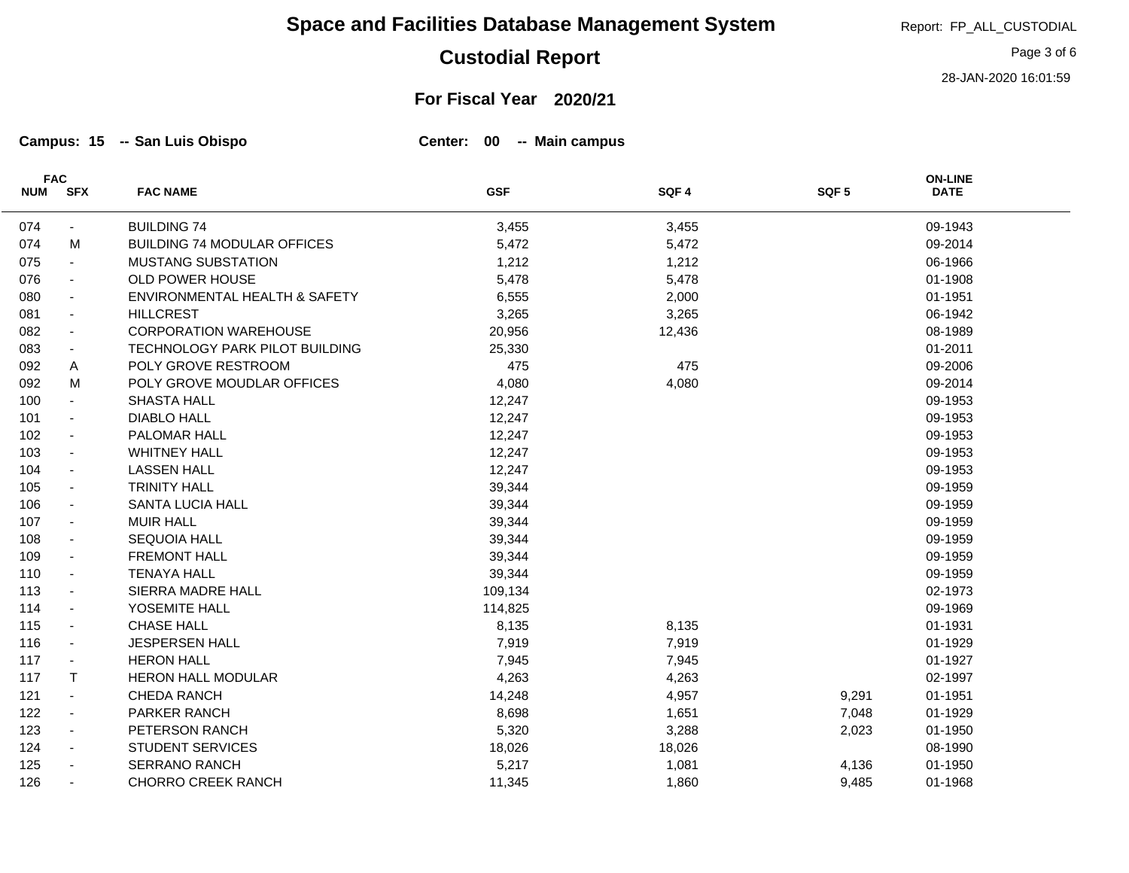# **Custodial Report**

#### **For Fiscal Year 2020/21**

**Campus: 15 San Luis Obispo Center: 00 Main campus -- --**

L,

| <b>FAC</b> |                          |                                    |            |        |                  | <b>ON-LINE</b> |  |
|------------|--------------------------|------------------------------------|------------|--------|------------------|----------------|--|
| <b>NUM</b> | <b>SFX</b>               | <b>FAC NAME</b>                    | <b>GSF</b> | SQF4   | SQF <sub>5</sub> | <b>DATE</b>    |  |
| 074        | $\sim$                   | <b>BUILDING 74</b>                 | 3,455      | 3,455  |                  | 09-1943        |  |
| 074        | м                        | <b>BUILDING 74 MODULAR OFFICES</b> | 5,472      | 5,472  |                  | 09-2014        |  |
| 075        | $\blacksquare$           | <b>MUSTANG SUBSTATION</b>          | 1,212      | 1,212  |                  | 06-1966        |  |
| 076        | $\blacksquare$           | OLD POWER HOUSE                    | 5,478      | 5,478  |                  | 01-1908        |  |
| 080        | $\overline{\phantom{a}}$ | ENVIRONMENTAL HEALTH & SAFETY      | 6,555      | 2,000  |                  | 01-1951        |  |
| 081        | $\blacksquare$           | <b>HILLCREST</b>                   | 3,265      | 3,265  |                  | 06-1942        |  |
| 082        | $\blacksquare$           | <b>CORPORATION WAREHOUSE</b>       | 20,956     | 12,436 |                  | 08-1989        |  |
| 083        | $\sim$                   | TECHNOLOGY PARK PILOT BUILDING     | 25,330     |        |                  | 01-2011        |  |
| 092        | A                        | POLY GROVE RESTROOM                | 475        | 475    |                  | 09-2006        |  |
| 092        | M                        | POLY GROVE MOUDLAR OFFICES         | 4,080      | 4,080  |                  | 09-2014        |  |
| 100        | $\blacksquare$           | <b>SHASTA HALL</b>                 | 12,247     |        |                  | 09-1953        |  |
| 101        | $\blacksquare$           | <b>DIABLO HALL</b>                 | 12,247     |        |                  | 09-1953        |  |
| 102        | $\blacksquare$           | PALOMAR HALL                       | 12,247     |        |                  | 09-1953        |  |
| 103        | $\sim$                   | <b>WHITNEY HALL</b>                | 12,247     |        |                  | 09-1953        |  |
| 104        | $\sim$                   | <b>LASSEN HALL</b>                 | 12,247     |        |                  | 09-1953        |  |
| 105        | $\blacksquare$           | <b>TRINITY HALL</b>                | 39,344     |        |                  | 09-1959        |  |
| 106        | $\overline{\phantom{a}}$ | <b>SANTA LUCIA HALL</b>            | 39,344     |        |                  | 09-1959        |  |
| 107        | $\blacksquare$           | <b>MUIR HALL</b>                   | 39,344     |        |                  | 09-1959        |  |
| 108        | $\blacksquare$           | <b>SEQUOIA HALL</b>                | 39,344     |        |                  | 09-1959        |  |
| 109        | $\blacksquare$           | <b>FREMONT HALL</b>                | 39,344     |        |                  | 09-1959        |  |
| 110        | $\blacksquare$           | <b>TENAYA HALL</b>                 | 39,344     |        |                  | 09-1959        |  |
| 113        | $\overline{\phantom{a}}$ | SIERRA MADRE HALL                  | 109,134    |        |                  | 02-1973        |  |
| 114        | $\overline{\phantom{a}}$ | YOSEMITE HALL                      | 114,825    |        |                  | 09-1969        |  |
| 115        | $\blacksquare$           | <b>CHASE HALL</b>                  | 8,135      | 8,135  |                  | 01-1931        |  |
| 116        | $\sim$                   | <b>JESPERSEN HALL</b>              | 7,919      | 7,919  |                  | 01-1929        |  |
| 117        | $\blacksquare$           | <b>HERON HALL</b>                  | 7,945      | 7,945  |                  | 01-1927        |  |
| 117        | $\mathsf{T}$             | <b>HERON HALL MODULAR</b>          | 4,263      | 4,263  |                  | 02-1997        |  |
| 121        | $\blacksquare$           | <b>CHEDA RANCH</b>                 | 14,248     | 4,957  | 9,291            | 01-1951        |  |
| 122        | $\blacksquare$           | PARKER RANCH                       | 8,698      | 1,651  | 7,048            | 01-1929        |  |
| 123        | $\blacksquare$           | PETERSON RANCH                     | 5,320      | 3,288  | 2,023            | 01-1950        |  |
| 124        | $\overline{\phantom{a}}$ | <b>STUDENT SERVICES</b>            | 18,026     | 18,026 |                  | 08-1990        |  |
| 125        | $\blacksquare$           | <b>SERRANO RANCH</b>               | 5,217      | 1,081  | 4,136            | 01-1950        |  |
| 126        | $\blacksquare$           | <b>CHORRO CREEK RANCH</b>          | 11,345     | 1,860  | 9,485            | 01-1968        |  |

Page 3 of 6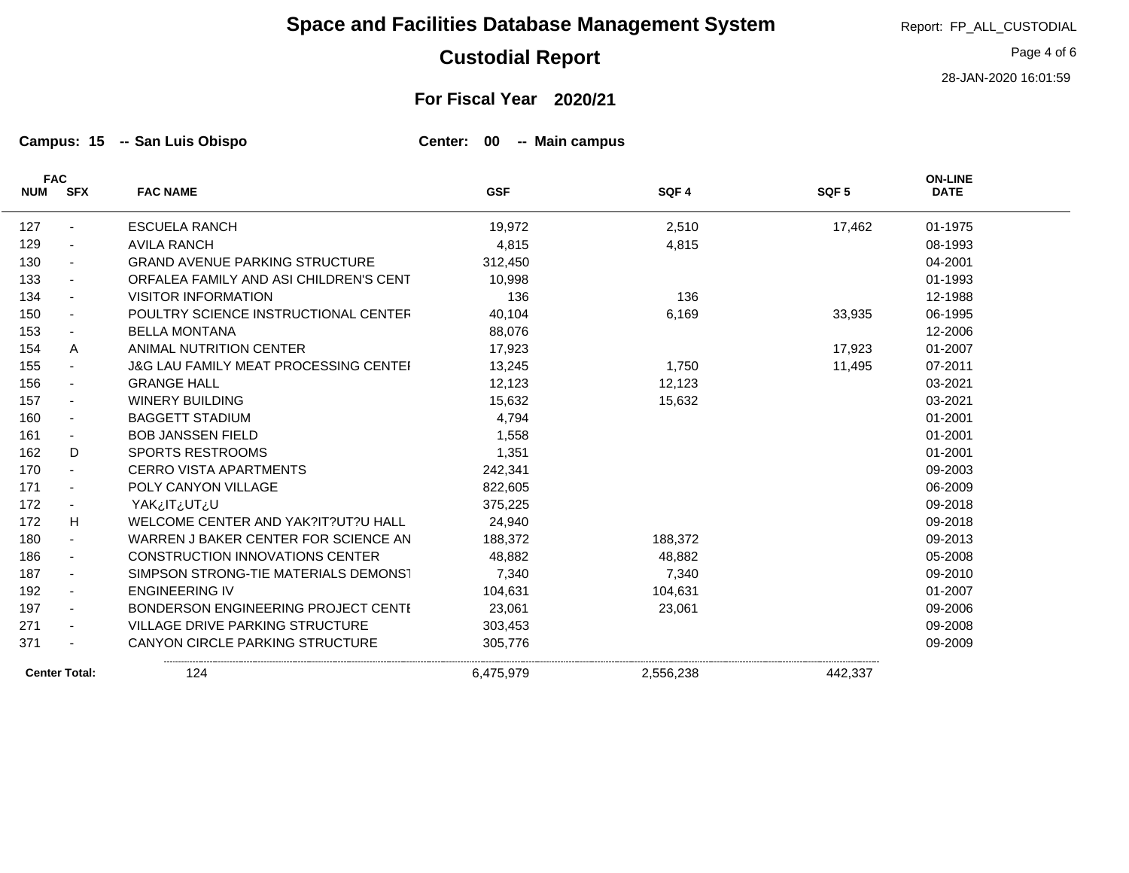## **Custodial Report**

**For Fiscal Year 2020/21**

**Campus: 15 San Luis Obispo Center: 00 Main campus -- --**

| <b>FAC</b> |                          |                                                  |            |           |                  | <b>ON-LINE</b> |
|------------|--------------------------|--------------------------------------------------|------------|-----------|------------------|----------------|
| <b>NUM</b> | <b>SFX</b>               | <b>FAC NAME</b>                                  | <b>GSF</b> | SQF4      | SQF <sub>5</sub> | <b>DATE</b>    |
| 127        |                          | <b>ESCUELA RANCH</b>                             | 19,972     | 2,510     | 17,462           | 01-1975        |
| 129        |                          | <b>AVILA RANCH</b>                               | 4,815      | 4,815     |                  | 08-1993        |
| 130        |                          | <b>GRAND AVENUE PARKING STRUCTURE</b>            | 312,450    |           |                  | 04-2001        |
| 133        | $\sim$                   | ORFALEA FAMILY AND ASI CHILDREN'S CENT           | 10,998     |           |                  | 01-1993        |
| 134        |                          | <b>VISITOR INFORMATION</b>                       | 136        | 136       |                  | 12-1988        |
| 150        |                          | POULTRY SCIENCE INSTRUCTIONAL CENTER             | 40,104     | 6.169     | 33,935           | 06-1995        |
| 153        |                          | <b>BELLA MONTANA</b>                             | 88,076     |           |                  | 12-2006        |
| 154        | A                        | ANIMAL NUTRITION CENTER                          | 17,923     |           | 17,923           | 01-2007        |
| 155        |                          | <b>J&amp;G LAU FAMILY MEAT PROCESSING CENTEI</b> | 13,245     | 1,750     | 11,495           | 07-2011        |
| 156        |                          | <b>GRANGE HALL</b>                               | 12,123     | 12,123    |                  | 03-2021        |
| 157        |                          | <b>WINERY BUILDING</b>                           | 15,632     | 15,632    |                  | 03-2021        |
| 160        |                          | <b>BAGGETT STADIUM</b>                           | 4,794      |           |                  | 01-2001        |
| 161        | ۰.                       | <b>BOB JANSSEN FIELD</b>                         | 1,558      |           |                  | 01-2001        |
| 162        | D.                       | <b>SPORTS RESTROOMS</b>                          | 1,351      |           |                  | 01-2001        |
| 170        | $\sim$                   | <b>CERRO VISTA APARTMENTS</b>                    | 242,341    |           |                  | 09-2003        |
| 171        | $\sim$                   | POLY CANYON VILLAGE                              | 822,605    |           |                  | 06-2009        |
| 172        |                          | YAK¿IT¿UT¿U                                      | 375,225    |           |                  | 09-2018        |
| 172        | H                        | WELCOME CENTER AND YAK?IT?UT?U HALL              | 24,940     |           |                  | 09-2018        |
| 180        |                          | WARREN J BAKER CENTER FOR SCIENCE AN             | 188,372    | 188,372   |                  | 09-2013        |
| 186        | $\sim$                   | <b>CONSTRUCTION INNOVATIONS CENTER</b>           | 48,882     | 48,882    |                  | 05-2008        |
| 187        |                          | SIMPSON STRONG-TIE MATERIALS DEMONST             | 7,340      | 7,340     |                  | 09-2010        |
| 192        | $\overline{\phantom{a}}$ | <b>ENGINEERING IV</b>                            | 104,631    | 104,631   |                  | 01-2007        |
| 197        | $\sim$                   | BONDERSON ENGINEERING PROJECT CENTI              | 23,061     | 23,061    |                  | 09-2006        |
| 271        |                          | <b>VILLAGE DRIVE PARKING STRUCTURE</b>           | 303,453    |           |                  | 09-2008        |
| 371        |                          | <b>CANYON CIRCLE PARKING STRUCTURE</b>           | 305,776    |           |                  | 09-2009        |
|            | <b>Center Total:</b>     | 124                                              | 6,475,979  | 2,556,238 | 442,337          |                |

Report: FP\_ALL\_CUSTODIAL

Page 4 of 6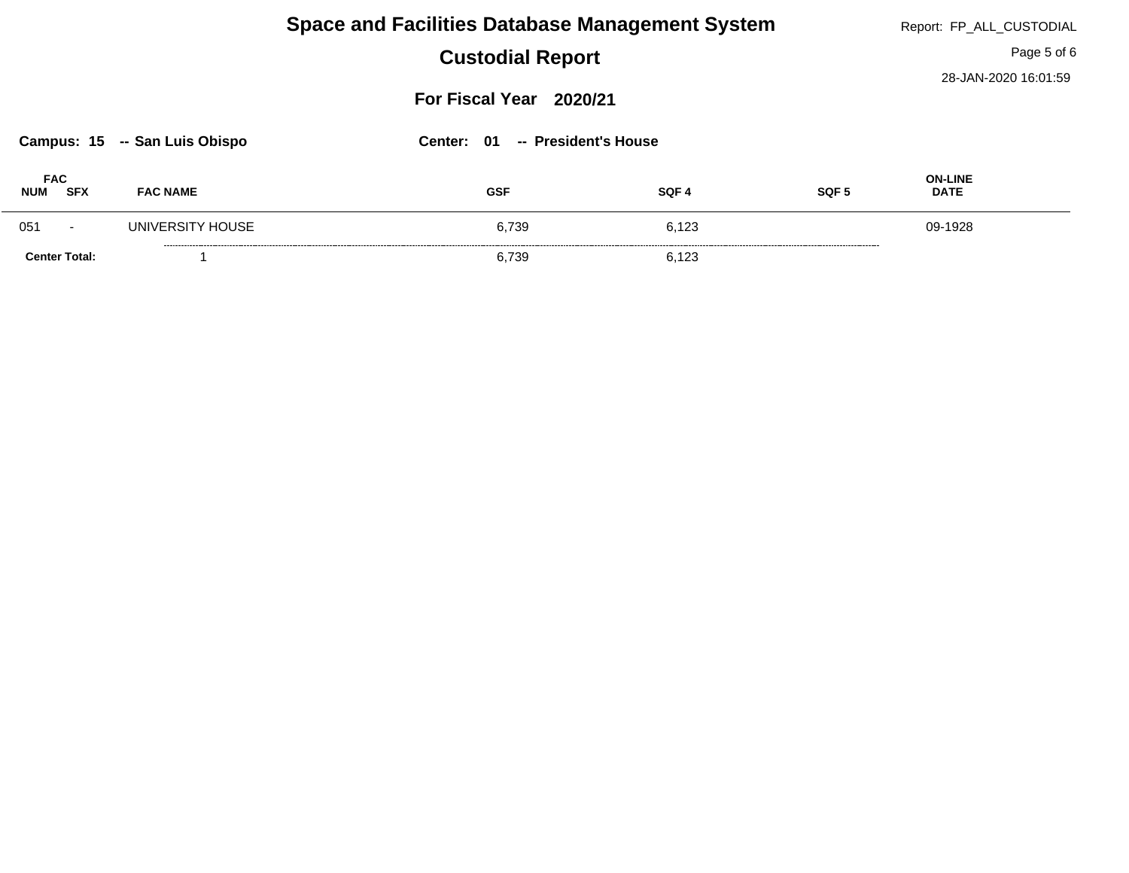| <b>Space and Facilities Database Management System</b>              |                         |            |                |                  | Report: FP_ALL_CUSTODIAL      |
|---------------------------------------------------------------------|-------------------------|------------|----------------|------------------|-------------------------------|
| <b>Custodial Report</b>                                             |                         |            |                |                  | Page 5 of 6                   |
|                                                                     | For Fiscal Year 2020/21 |            |                |                  |                               |
| Center: 01<br>Campus: 15 -- San Luis Obispo<br>-- President's House |                         |            |                |                  |                               |
| <b>FAC</b><br><b>SFX</b><br><b>NUM</b>                              | <b>FAC NAME</b>         | <b>GSF</b> | SQF 4          | SQF <sub>5</sub> | <b>ON-LINE</b><br><b>DATE</b> |
| 051<br>$\overline{\phantom{0}}$                                     | UNIVERSITY HOUSE        |            | 6.739<br>6,123 |                  | 09-1928                       |
| <b>Center Total:</b>                                                |                         |            | 6.739<br>6.123 |                  |                               |